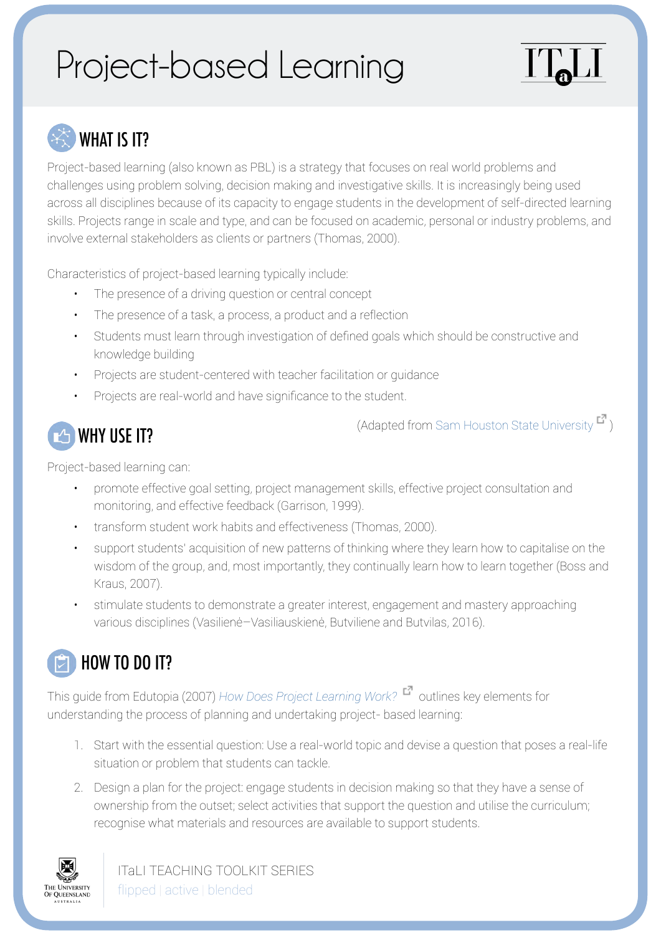# Project-based Learning

## WHAT IS IT?

Project-based learning (also known as PBL) is a strategy that focuses on real world problems and challenges using problem solving, decision making and investigative skills. It is increasingly being used across all disciplines because of its capacity to engage students in the development of self-directed learning skills. Projects range in scale and type, and can be focused on academic, personal or industry problems, and involve external stakeholders as clients or partners (Thomas, 2000).

Characteristics of project-based learning typically include:

- The presence of a driving question or central concept
- The presence of a task, a process, a product and a reflection
- Students must learn through investigation of defined goals which should be constructive and knowledge building
- Projects are student-centered with teacher facilitation or guidance
- Projects are real-world and have significance to the student.



(Adapted from [Sam Houston State University](http://www.shsu.edu/centers/project-based-learning/higher-education.html)  $\blacksquare$ )

Project-based learning can:

- promote effective goal setting, project management skills, effective project consultation and monitoring, and effective feedback (Garrison, 1999).
- transform student work habits and effectiveness (Thomas, 2000).
- support students' acquisition of new patterns of thinking where they learn how to capitalise on the wisdom of the group, and, most importantly, they continually learn how to learn together (Boss and Kraus, 2007).
- stimulate students to demonstrate a greater interest, engagement and mastery approaching various disciplines (Vasilienė–Vasiliauskienė, Butviliene and Butvilas, 2016).

### HOW TO DO IT?

This guide from Edutopia (2007) [How Does Project Learning Work?](https://www.edutopia.org/project-based-learning-guide-implementation) **C** outlines key elements for understanding the process of planning and undertaking project- based learning:

- 1. Start with the essential question: Use a real-world topic and devise a question that poses a real-life situation or problem that students can tackle.
- 2. Design a plan for the project: engage students in decision making so that they have a sense of ownership from the outset; select activities that support the question and utilise the curriculum; recognise what materials and resources are available to support students.



ITaLI TEACHING TOOLKIT SERIES flipped | active | blended